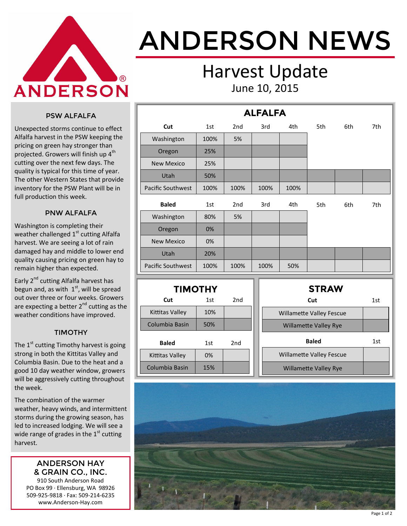

# ANDERSON NEWS

### Harvest Update June 10, 2015

#### PSW ALFALFA

Unexpected storms continue to effect Alfalfa harvest in the PSW keeping the pricing on green hay stronger than projected. Growers will finish up  $4^{\text{th}}$ cutting over the next few days. The quality is typical for this time of year. The other Western States that provide inventory for the PSW Plant will be in full production this week.

#### PNW ALFALFA

Washington is completing their weather challenged  $1<sup>st</sup>$  cutting Alfalfa harvest. We are seeing a lot of rain damaged hay and middle to lower end quality causing pricing on green hay to remain higher than expected.

Early 2<sup>nd</sup> cutting Alfalfa harvest has begun and, as with  $1<sup>st</sup>$ , will be spread out over three or four weeks. Growers are expecting a better  $2^{nd}$  cutting as the weather conditions have improved.

#### TIMOTHY

The  $1<sup>st</sup>$  cutting Timothy harvest is going strong in both the Kittitas Valley and Columbia Basin. Due to the heat and a good 10 day weather window, growers will be aggressively cutting throughout the week.

The combination of the warmer weather, heavy winds, and intermittent storms during the growing season, has led to increased lodging. We will see a wide range of grades in the  $1<sup>st</sup>$  cutting harvest.

#### ANDERSON HAY & GRAIN CO., INC.

910 South Anderson Road PO Box 99 · Ellensburg, WA 98926 509-925-9818 · Fax: 509-214-6235 www.Anderson-Hay.com

|                          |      |                 | <b>ALFALFA</b> |      |     |     |     |
|--------------------------|------|-----------------|----------------|------|-----|-----|-----|
| Cut                      | 1st  | 2 <sub>nd</sub> | 3rd            | 4th  | 5th | 6th | 7th |
| Washington               | 100% | 5%              |                |      |     |     |     |
| Oregon                   | 25%  |                 |                |      |     |     |     |
| <b>New Mexico</b>        | 25%  |                 |                |      |     |     |     |
| Utah                     | 50%  |                 |                |      |     |     |     |
| <b>Pacific Southwest</b> | 100% | 100%            | 100%           | 100% |     |     |     |
| <b>Baled</b>             | 1st  | 2 <sub>nd</sub> | 3rd            | 4th  | 5th | 6th | 7th |
| Washington               | 80%  | 5%              |                |      |     |     |     |
| Oregon                   | 0%   |                 |                |      |     |     |     |
| <b>New Mexico</b>        | 0%   |                 |                |      |     |     |     |
| Utah                     | 20%  |                 |                |      |     |     |     |
| <b>Pacific Southwest</b> | 100% | 100%            | 100%           | 50%  |     |     |     |

| <b>TIMOTHY</b>  |     |     |  |  |  |  |  |
|-----------------|-----|-----|--|--|--|--|--|
| Cut             | 1st | 2nd |  |  |  |  |  |
| Kittitas Valley | 10% |     |  |  |  |  |  |
| Columbia Basin  | 50% |     |  |  |  |  |  |
| Baled           | 1st | 2nd |  |  |  |  |  |
| Kittitas Valley | 0%  |     |  |  |  |  |  |
| Columbia Basin  | 15% |     |  |  |  |  |  |

| <b>STRAW</b>                    |     |
|---------------------------------|-----|
| Cut                             | 1st |
| <b>Willamette Valley Fescue</b> |     |
| <b>Willamette Valley Rye</b>    |     |
|                                 |     |
| <b>Baled</b>                    | 1st |
| <b>Willamette Valley Fescue</b> |     |